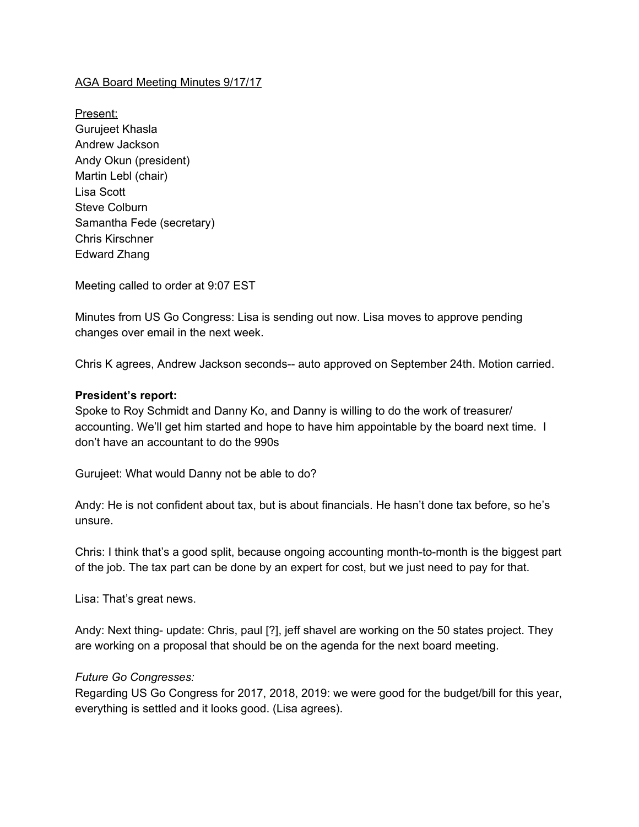## AGA Board Meeting Minutes 9/17/17

Present: Gurujeet Khasla Andrew Jackson Andy Okun (president) Martin Lebl (chair) Lisa Scott Steve Colburn Samantha Fede (secretary) Chris Kirschner Edward Zhang

Meeting called to order at 9:07 EST

Minutes from US Go Congress: Lisa is sending out now. Lisa moves to approve pending changes over email in the next week.

Chris K agrees, Andrew Jackson seconds-- auto approved on September 24th. Motion carried.

#### **President's report:**

Spoke to Roy Schmidt and Danny Ko, and Danny is willing to do the work of treasurer/ accounting. We'll get him started and hope to have him appointable by the board next time. I don't have an accountant to do the 990s

Gurujeet: What would Danny not be able to do?

Andy: He is not confident about tax, but is about financials. He hasn't done tax before, so he's unsure.

Chris: I think that's a good split, because ongoing accounting month-to-month is the biggest part of the job. The tax part can be done by an expert for cost, but we just need to pay for that.

Lisa: That's great news.

Andy: Next thing- update: Chris, paul [?], jeff shavel are working on the 50 states project. They are working on a proposal that should be on the agenda for the next board meeting.

## *Future Go Congresses:*

Regarding US Go Congress for 2017, 2018, 2019: we were good for the budget/bill for this year, everything is settled and it looks good. (Lisa agrees).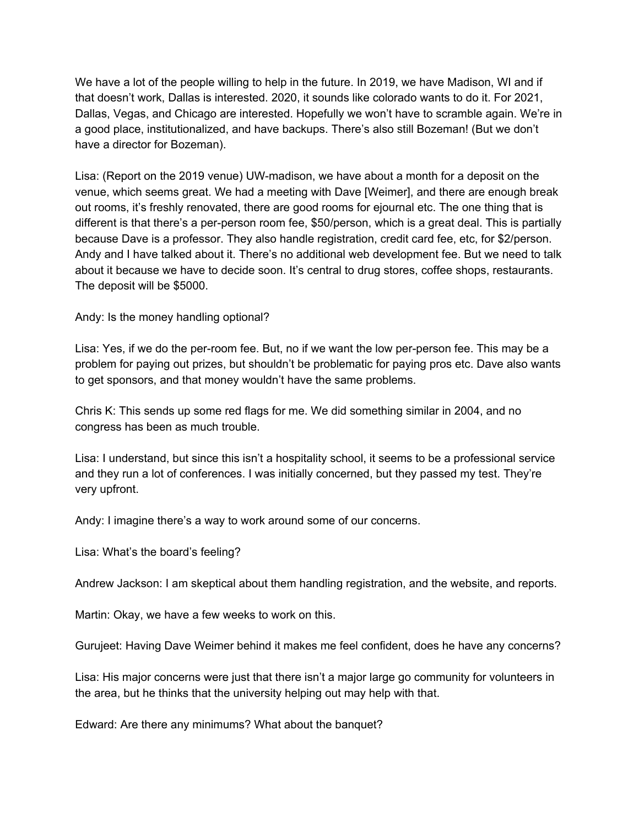We have a lot of the people willing to help in the future. In 2019, we have Madison, WI and if that doesn't work, Dallas is interested. 2020, it sounds like colorado wants to do it. For 2021, Dallas, Vegas, and Chicago are interested. Hopefully we won't have to scramble again. We're in a good place, institutionalized, and have backups. There's also still Bozeman! (But we don't have a director for Bozeman).

Lisa: (Report on the 2019 venue) UW-madison, we have about a month for a deposit on the venue, which seems great. We had a meeting with Dave [Weimer], and there are enough break out rooms, it's freshly renovated, there are good rooms for ejournal etc. The one thing that is different is that there's a per-person room fee, \$50/person, which is a great deal. This is partially because Dave is a professor. They also handle registration, credit card fee, etc, for \$2/person. Andy and I have talked about it. There's no additional web development fee. But we need to talk about it because we have to decide soon. It's central to drug stores, coffee shops, restaurants. The deposit will be \$5000.

Andy: Is the money handling optional?

Lisa: Yes, if we do the per-room fee. But, no if we want the low per-person fee. This may be a problem for paying out prizes, but shouldn't be problematic for paying pros etc. Dave also wants to get sponsors, and that money wouldn't have the same problems.

Chris K: This sends up some red flags for me. We did something similar in 2004, and no congress has been as much trouble.

Lisa: I understand, but since this isn't a hospitality school, it seems to be a professional service and they run a lot of conferences. I was initially concerned, but they passed my test. They're very upfront.

Andy: I imagine there's a way to work around some of our concerns.

Lisa: What's the board's feeling?

Andrew Jackson: I am skeptical about them handling registration, and the website, and reports.

Martin: Okay, we have a few weeks to work on this.

Gurujeet: Having Dave Weimer behind it makes me feel confident, does he have any concerns?

Lisa: His major concerns were just that there isn't a major large go community for volunteers in the area, but he thinks that the university helping out may help with that.

Edward: Are there any minimums? What about the banquet?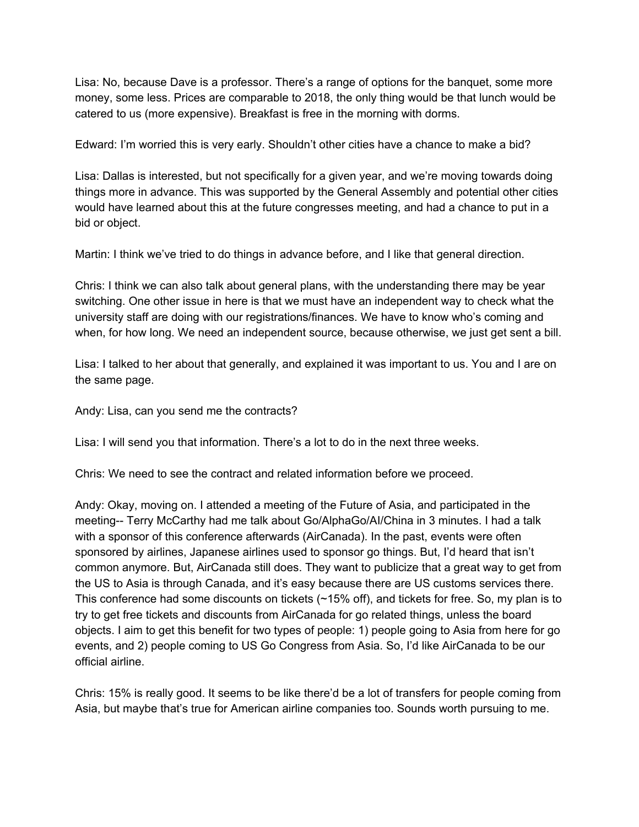Lisa: No, because Dave is a professor. There's a range of options for the banquet, some more money, some less. Prices are comparable to 2018, the only thing would be that lunch would be catered to us (more expensive). Breakfast is free in the morning with dorms.

Edward: I'm worried this is very early. Shouldn't other cities have a chance to make a bid?

Lisa: Dallas is interested, but not specifically for a given year, and we're moving towards doing things more in advance. This was supported by the General Assembly and potential other cities would have learned about this at the future congresses meeting, and had a chance to put in a bid or object.

Martin: I think we've tried to do things in advance before, and I like that general direction.

Chris: I think we can also talk about general plans, with the understanding there may be year switching. One other issue in here is that we must have an independent way to check what the university staff are doing with our registrations/finances. We have to know who's coming and when, for how long. We need an independent source, because otherwise, we just get sent a bill.

Lisa: I talked to her about that generally, and explained it was important to us. You and I are on the same page.

Andy: Lisa, can you send me the contracts?

Lisa: I will send you that information. There's a lot to do in the next three weeks.

Chris: We need to see the contract and related information before we proceed.

Andy: Okay, moving on. I attended a meeting of the Future of Asia, and participated in the meeting-- Terry McCarthy had me talk about Go/AlphaGo/AI/China in 3 minutes. I had a talk with a sponsor of this conference afterwards (AirCanada). In the past, events were often sponsored by airlines, Japanese airlines used to sponsor go things. But, I'd heard that isn't common anymore. But, AirCanada still does. They want to publicize that a great way to get from the US to Asia is through Canada, and it's easy because there are US customs services there. This conference had some discounts on tickets (~15% off), and tickets for free. So, my plan is to try to get free tickets and discounts from AirCanada for go related things, unless the board objects. I aim to get this benefit for two types of people: 1) people going to Asia from here for go events, and 2) people coming to US Go Congress from Asia. So, I'd like AirCanada to be our official airline.

Chris: 15% is really good. It seems to be like there'd be a lot of transfers for people coming from Asia, but maybe that's true for American airline companies too. Sounds worth pursuing to me.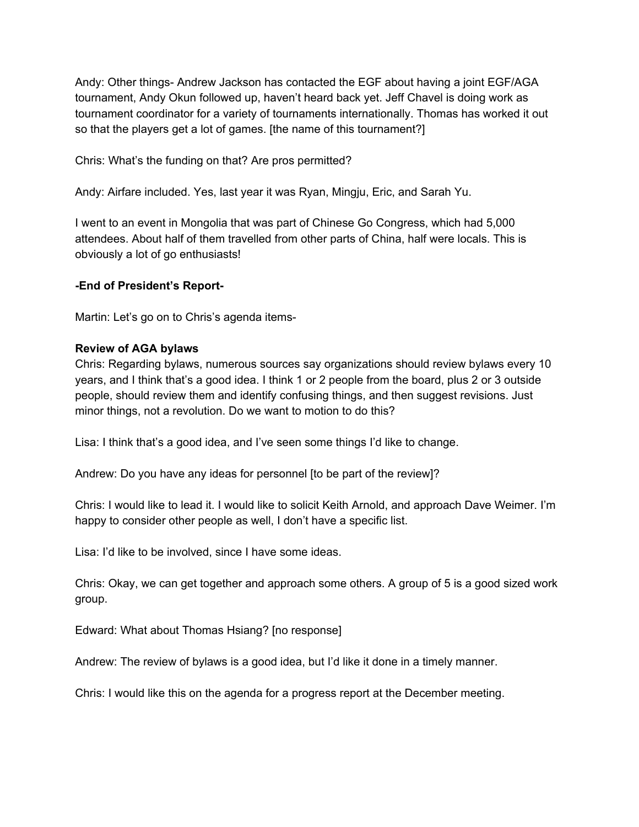Andy: Other things- Andrew Jackson has contacted the EGF about having a joint EGF/AGA tournament, Andy Okun followed up, haven't heard back yet. Jeff Chavel is doing work as tournament coordinator for a variety of tournaments internationally. Thomas has worked it out so that the players get a lot of games. [the name of this tournament?]

Chris: What's the funding on that? Are pros permitted?

Andy: Airfare included. Yes, last year it was Ryan, Mingju, Eric, and Sarah Yu.

I went to an event in Mongolia that was part of Chinese Go Congress, which had 5,000 attendees. About half of them travelled from other parts of China, half were locals. This is obviously a lot of go enthusiasts!

# **-End of President's Report-**

Martin: Let's go on to Chris's agenda items-

## **Review of AGA bylaws**

Chris: Regarding bylaws, numerous sources say organizations should review bylaws every 10 years, and I think that's a good idea. I think 1 or 2 people from the board, plus 2 or 3 outside people, should review them and identify confusing things, and then suggest revisions. Just minor things, not a revolution. Do we want to motion to do this?

Lisa: I think that's a good idea, and I've seen some things I'd like to change.

Andrew: Do you have any ideas for personnel [to be part of the review]?

Chris: I would like to lead it. I would like to solicit Keith Arnold, and approach Dave Weimer. I'm happy to consider other people as well, I don't have a specific list.

Lisa: I'd like to be involved, since I have some ideas.

Chris: Okay, we can get together and approach some others. A group of 5 is a good sized work group.

Edward: What about Thomas Hsiang? [no response]

Andrew: The review of bylaws is a good idea, but I'd like it done in a timely manner.

Chris: I would like this on the agenda for a progress report at the December meeting.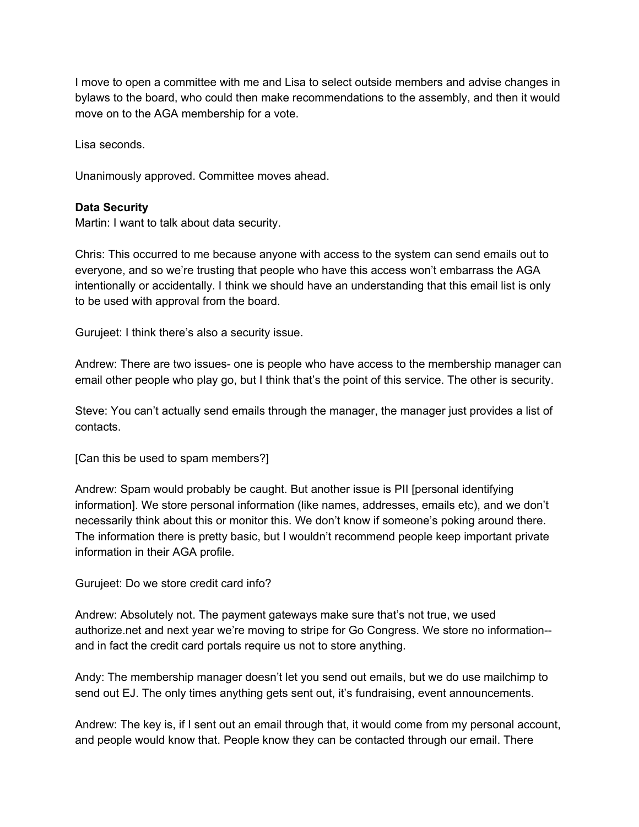I move to open a committee with me and Lisa to select outside members and advise changes in bylaws to the board, who could then make recommendations to the assembly, and then it would move on to the AGA membership for a vote.

Lisa seconds.

Unanimously approved. Committee moves ahead.

## **Data Security**

Martin: I want to talk about data security.

Chris: This occurred to me because anyone with access to the system can send emails out to everyone, and so we're trusting that people who have this access won't embarrass the AGA intentionally or accidentally. I think we should have an understanding that this email list is only to be used with approval from the board.

Gurujeet: I think there's also a security issue.

Andrew: There are two issues- one is people who have access to the membership manager can email other people who play go, but I think that's the point of this service. The other is security.

Steve: You can't actually send emails through the manager, the manager just provides a list of contacts.

[Can this be used to spam members?]

Andrew: Spam would probably be caught. But another issue is PII [personal identifying information]. We store personal information (like names, addresses, emails etc), and we don't necessarily think about this or monitor this. We don't know if someone's poking around there. The information there is pretty basic, but I wouldn't recommend people keep important private information in their AGA profile.

Gurujeet: Do we store credit card info?

Andrew: Absolutely not. The payment gateways make sure that's not true, we used authorize.net and next year we're moving to stripe for Go Congress. We store no information- and in fact the credit card portals require us not to store anything.

Andy: The membership manager doesn't let you send out emails, but we do use mailchimp to send out EJ. The only times anything gets sent out, it's fundraising, event announcements.

Andrew: The key is, if I sent out an email through that, it would come from my personal account, and people would know that. People know they can be contacted through our email. There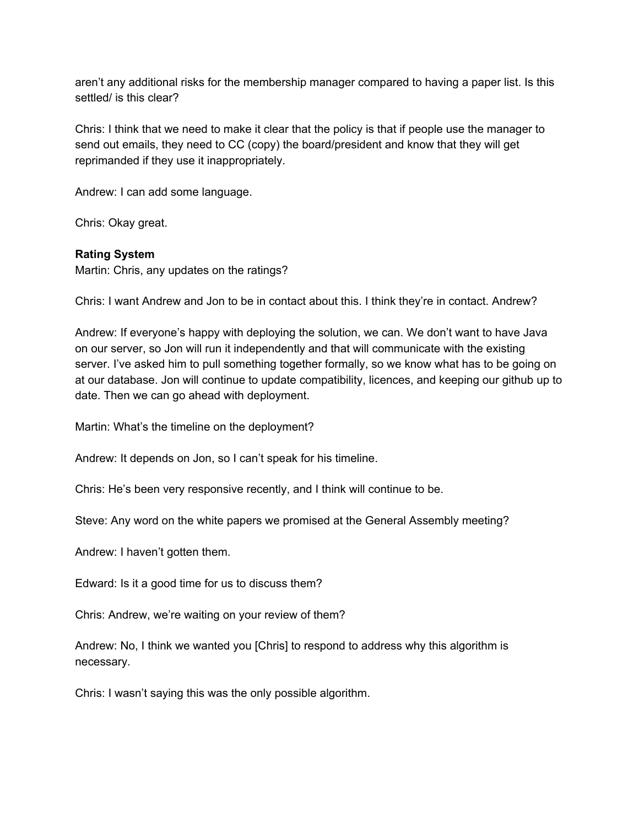aren't any additional risks for the membership manager compared to having a paper list. Is this settled/ is this clear?

Chris: I think that we need to make it clear that the policy is that if people use the manager to send out emails, they need to CC (copy) the board/president and know that they will get reprimanded if they use it inappropriately.

Andrew: I can add some language.

Chris: Okay great.

# **Rating System**

Martin: Chris, any updates on the ratings?

Chris: I want Andrew and Jon to be in contact about this. I think they're in contact. Andrew?

Andrew: If everyone's happy with deploying the solution, we can. We don't want to have Java on our server, so Jon will run it independently and that will communicate with the existing server. I've asked him to pull something together formally, so we know what has to be going on at our database. Jon will continue to update compatibility, licences, and keeping our github up to date. Then we can go ahead with deployment.

Martin: What's the timeline on the deployment?

Andrew: It depends on Jon, so I can't speak for his timeline.

Chris: He's been very responsive recently, and I think will continue to be.

Steve: Any word on the white papers we promised at the General Assembly meeting?

Andrew: I haven't gotten them.

Edward: Is it a good time for us to discuss them?

Chris: Andrew, we're waiting on your review of them?

Andrew: No, I think we wanted you [Chris] to respond to address why this algorithm is necessary.

Chris: I wasn't saying this was the only possible algorithm.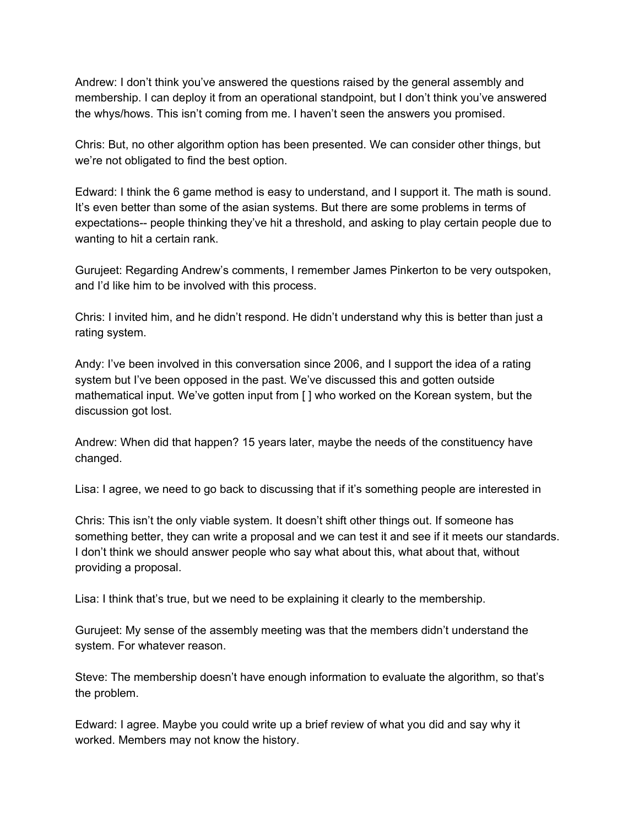Andrew: I don't think you've answered the questions raised by the general assembly and membership. I can deploy it from an operational standpoint, but I don't think you've answered the whys/hows. This isn't coming from me. I haven't seen the answers you promised.

Chris: But, no other algorithm option has been presented. We can consider other things, but we're not obligated to find the best option.

Edward: I think the 6 game method is easy to understand, and I support it. The math is sound. It's even better than some of the asian systems. But there are some problems in terms of expectations-- people thinking they've hit a threshold, and asking to play certain people due to wanting to hit a certain rank.

Gurujeet: Regarding Andrew's comments, I remember James Pinkerton to be very outspoken, and I'd like him to be involved with this process.

Chris: I invited him, and he didn't respond. He didn't understand why this is better than just a rating system.

Andy: I've been involved in this conversation since 2006, and I support the idea of a rating system but I've been opposed in the past. We've discussed this and gotten outside mathematical input. We've gotten input from [ ] who worked on the Korean system, but the discussion got lost.

Andrew: When did that happen? 15 years later, maybe the needs of the constituency have changed.

Lisa: I agree, we need to go back to discussing that if it's something people are interested in

Chris: This isn't the only viable system. It doesn't shift other things out. If someone has something better, they can write a proposal and we can test it and see if it meets our standards. I don't think we should answer people who say what about this, what about that, without providing a proposal.

Lisa: I think that's true, but we need to be explaining it clearly to the membership.

Gurujeet: My sense of the assembly meeting was that the members didn't understand the system. For whatever reason.

Steve: The membership doesn't have enough information to evaluate the algorithm, so that's the problem.

Edward: I agree. Maybe you could write up a brief review of what you did and say why it worked. Members may not know the history.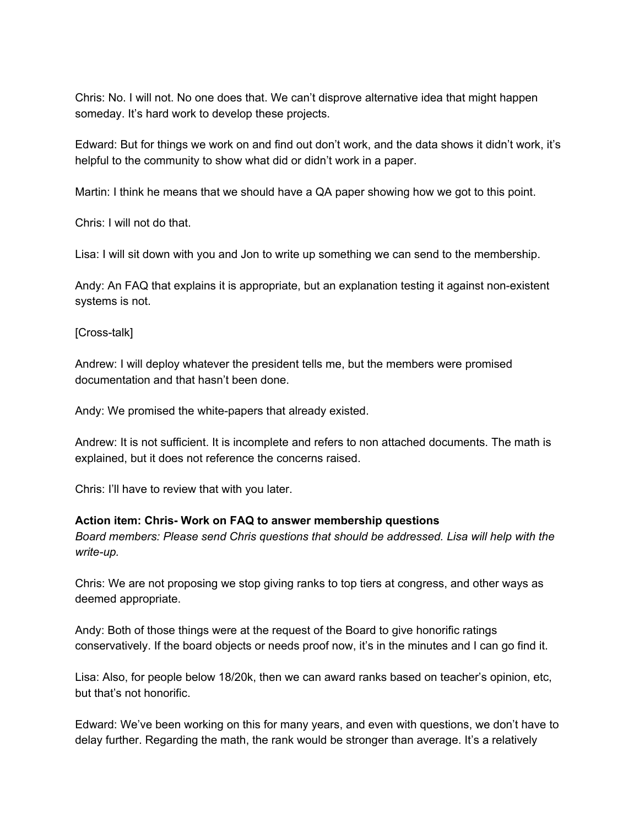Chris: No. I will not. No one does that. We can't disprove alternative idea that might happen someday. It's hard work to develop these projects.

Edward: But for things we work on and find out don't work, and the data shows it didn't work, it's helpful to the community to show what did or didn't work in a paper.

Martin: I think he means that we should have a QA paper showing how we got to this point.

Chris: I will not do that.

Lisa: I will sit down with you and Jon to write up something we can send to the membership.

Andy: An FAQ that explains it is appropriate, but an explanation testing it against non-existent systems is not.

[Cross-talk]

Andrew: I will deploy whatever the president tells me, but the members were promised documentation and that hasn't been done.

Andy: We promised the white-papers that already existed.

Andrew: It is not sufficient. It is incomplete and refers to non attached documents. The math is explained, but it does not reference the concerns raised.

Chris: I'll have to review that with you later.

## **Action item: Chris- Work on FAQ to answer membership questions**

*Board members: Please send Chris questions that should be addressed. Lisa will help with the write-up.*

Chris: We are not proposing we stop giving ranks to top tiers at congress, and other ways as deemed appropriate.

Andy: Both of those things were at the request of the Board to give honorific ratings conservatively. If the board objects or needs proof now, it's in the minutes and I can go find it.

Lisa: Also, for people below 18/20k, then we can award ranks based on teacher's opinion, etc, but that's not honorific.

Edward: We've been working on this for many years, and even with questions, we don't have to delay further. Regarding the math, the rank would be stronger than average. It's a relatively